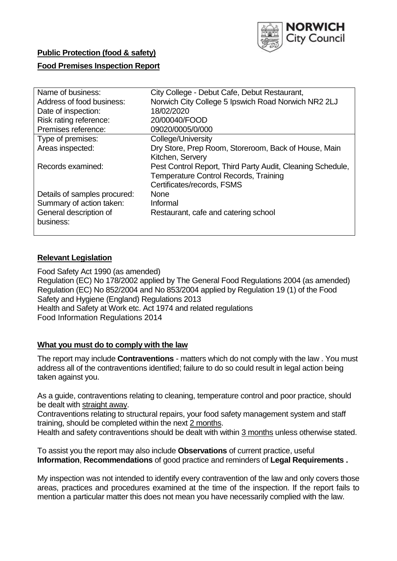

# **Public Protection (food & safety)**

# **Food Premises Inspection Report**

| Name of business:            | City College - Debut Cafe, Debut Restaurant,               |
|------------------------------|------------------------------------------------------------|
| Address of food business:    | Norwich City College 5 Ipswich Road Norwich NR2 2LJ        |
| Date of inspection:          | 18/02/2020                                                 |
| Risk rating reference:       | 20/00040/FOOD                                              |
| Premises reference:          | 09020/0005/0/000                                           |
| Type of premises:            | College/University                                         |
| Areas inspected:             | Dry Store, Prep Room, Storeroom, Back of House, Main       |
|                              | Kitchen, Servery                                           |
| Records examined:            | Pest Control Report, Third Party Audit, Cleaning Schedule, |
|                              | <b>Temperature Control Records, Training</b>               |
|                              | Certificates/records, FSMS                                 |
| Details of samples procured: | <b>None</b>                                                |
| Summary of action taken:     | Informal                                                   |
| General description of       | Restaurant, cafe and catering school                       |
| business:                    |                                                            |
|                              |                                                            |

# **Relevant Legislation**

Food Safety Act 1990 (as amended) Regulation (EC) No 178/2002 applied by The General Food Regulations 2004 (as amended) Regulation (EC) No 852/2004 and No 853/2004 applied by Regulation 19 (1) of the Food Safety and Hygiene (England) Regulations 2013 Health and Safety at Work etc. Act 1974 and related regulations Food Information Regulations 2014

# **What you must do to comply with the law**

The report may include **Contraventions** - matters which do not comply with the law . You must address all of the contraventions identified; failure to do so could result in legal action being taken against you.

As a guide, contraventions relating to cleaning, temperature control and poor practice, should be dealt with straight away.

Contraventions relating to structural repairs, your food safety management system and staff training, should be completed within the next 2 months.

Health and safety contraventions should be dealt with within 3 months unless otherwise stated.

To assist you the report may also include **Observations** of current practice, useful **Information**, **Recommendations** of good practice and reminders of **Legal Requirements .**

My inspection was not intended to identify every contravention of the law and only covers those areas, practices and procedures examined at the time of the inspection. If the report fails to mention a particular matter this does not mean you have necessarily complied with the law.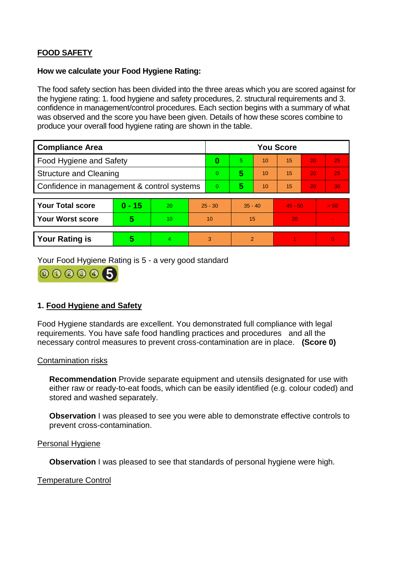# **FOOD SAFETY**

## **How we calculate your Food Hygiene Rating:**

The food safety section has been divided into the three areas which you are scored against for the hygiene rating: 1. food hygiene and safety procedures, 2. structural requirements and 3. confidence in management/control procedures. Each section begins with a summary of what was observed and the score you have been given. Details of how these scores combine to produce your overall food hygiene rating are shown in the table.

| <b>Compliance Area</b>                     |          |    |           | <b>You Score</b> |                |    |           |    |          |  |  |
|--------------------------------------------|----------|----|-----------|------------------|----------------|----|-----------|----|----------|--|--|
| Food Hygiene and Safety                    |          |    | 0         | 5.               | 10             | 15 | 20        | 25 |          |  |  |
| <b>Structure and Cleaning</b>              |          |    | $\Omega$  | 5                | 10             | 15 | 20        | 25 |          |  |  |
| Confidence in management & control systems |          |    | 0         | 5                | 10             | 15 | 20        | 30 |          |  |  |
|                                            |          |    |           |                  |                |    |           |    |          |  |  |
| <b>Your Total score</b>                    | $0 - 15$ | 20 | $25 - 30$ |                  | $35 - 40$      |    | $45 - 50$ |    | > 50     |  |  |
| <b>Your Worst score</b>                    | 5        | 10 | 10        |                  | 15             |    | 20        |    |          |  |  |
|                                            |          |    |           |                  |                |    |           |    |          |  |  |
| <b>Your Rating is</b>                      | 5        | 4. | 3         |                  | $\overline{2}$ |    |           |    | $\Omega$ |  |  |

Your Food Hygiene Rating is 5 - a very good standard



# **1. Food Hygiene and Safety**

Food Hygiene standards are excellent. You demonstrated full compliance with legal requirements. You have safe food handling practices and procedures and all the necessary control measures to prevent cross-contamination are in place. **(Score 0)**

# Contamination risks

**Recommendation** Provide separate equipment and utensils designated for use with either raw or ready-to-eat foods, which can be easily identified (e.g. colour coded) and stored and washed separately.

**Observation** I was pleased to see you were able to demonstrate effective controls to prevent cross-contamination.

# Personal Hygiene

**Observation** I was pleased to see that standards of personal hygiene were high.

# Temperature Control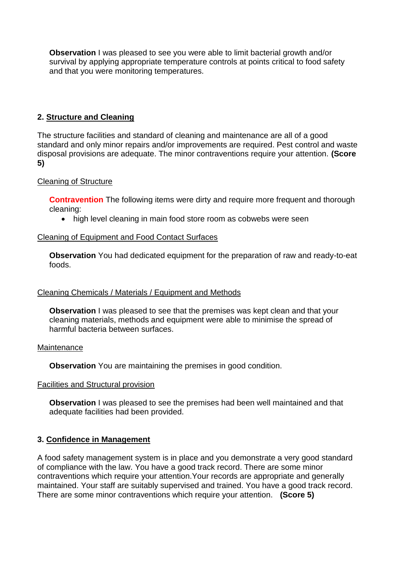**Observation** I was pleased to see you were able to limit bacterial growth and/or survival by applying appropriate temperature controls at points critical to food safety and that you were monitoring temperatures.

# **2. Structure and Cleaning**

The structure facilities and standard of cleaning and maintenance are all of a good standard and only minor repairs and/or improvements are required. Pest control and waste disposal provisions are adequate. The minor contraventions require your attention. **(Score 5)**

## Cleaning of Structure

**Contravention** The following items were dirty and require more frequent and thorough cleaning:

• high level cleaning in main food store room as cobwebs were seen

## Cleaning of Equipment and Food Contact Surfaces

**Observation** You had dedicated equipment for the preparation of raw and ready-to-eat foods.

### Cleaning Chemicals / Materials / Equipment and Methods

**Observation** I was pleased to see that the premises was kept clean and that your cleaning materials, methods and equipment were able to minimise the spread of harmful bacteria between surfaces.

### **Maintenance**

**Observation** You are maintaining the premises in good condition.

### Facilities and Structural provision

**Observation** I was pleased to see the premises had been well maintained and that adequate facilities had been provided.

### **3. Confidence in Management**

A food safety management system is in place and you demonstrate a very good standard of compliance with the law. You have a good track record. There are some minor contraventions which require your attention.Your records are appropriate and generally maintained. Your staff are suitably supervised and trained. You have a good track record. There are some minor contraventions which require your attention. **(Score 5)**